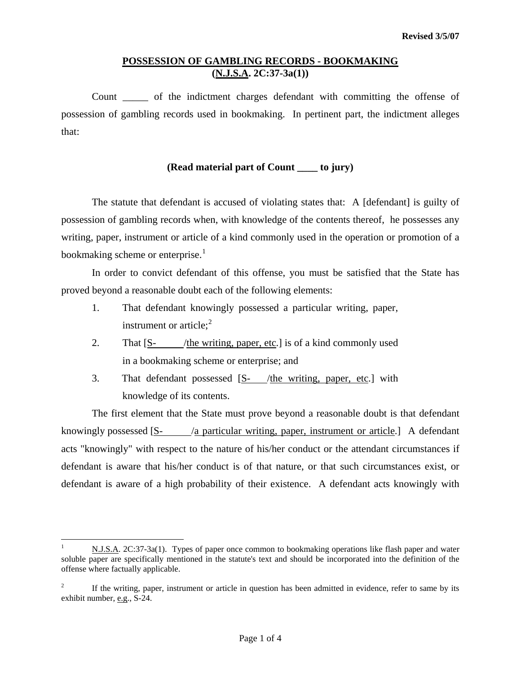## **POSSESSION OF GAMBLING RECORDS - BOOKMAKING (N.J.S.A. 2C:37-3a(1))**

 Count \_\_\_\_\_ of the indictment charges defendant with committing the offense of possession of gambling records used in bookmaking. In pertinent part, the indictment alleges that:

## **(Read material part of Count \_\_\_\_ to jury)**

 The statute that defendant is accused of violating states that: A [defendant] is guilty of possession of gambling records when, with knowledge of the contents thereof, he possesses any writing, paper, instrument or article of a kind commonly used in the operation or promotion of a bookmaking scheme or enterprise. $<sup>1</sup>$  $<sup>1</sup>$  $<sup>1</sup>$ </sup>

 In order to convict defendant of this offense, you must be satisfied that the State has proved beyond a reasonable doubt each of the following elements:

- 1. That defendant knowingly possessed a particular writing, paper, instrument or article: $2<sup>2</sup>$  $2<sup>2</sup>$
- 2. That [S- /the writing, paper, etc.] is of a kind commonly used in a bookmaking scheme or enterprise; and
- 3. That defendant possessed [S- /the writing, paper, etc.] with knowledge of its contents.

 The first element that the State must prove beyond a reasonable doubt is that defendant knowingly possessed [S- /a particular writing, paper, instrument or article.] A defendant acts "knowingly" with respect to the nature of his/her conduct or the attendant circumstances if defendant is aware that his/her conduct is of that nature, or that such circumstances exist, or defendant is aware of a high probability of their existence. A defendant acts knowingly with

 $\overline{a}$ 

<span id="page-0-0"></span><sup>1</sup> N.J.S.A. 2C:37-3a(1). Types of paper once common to bookmaking operations like flash paper and water soluble paper are specifically mentioned in the statute's text and should be incorporated into the definition of the offense where factually applicable.

<span id="page-0-1"></span><sup>2</sup> If the writing, paper, instrument or article in question has been admitted in evidence, refer to same by its exhibit number, e.g., S-24.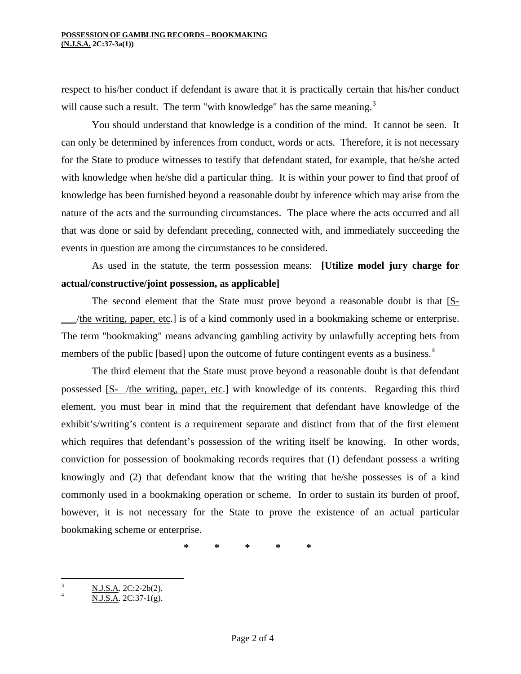respect to his/her conduct if defendant is aware that it is practically certain that his/her conduct will cause such a result. The term "with knowledge" has the same meaning.<sup>[3](#page-0-1)</sup>

 You should understand that knowledge is a condition of the mind. It cannot be seen. It can only be determined by inferences from conduct, words or acts. Therefore, it is not necessary for the State to produce witnesses to testify that defendant stated, for example, that he/she acted with knowledge when he/she did a particular thing. It is within your power to find that proof of knowledge has been furnished beyond a reasonable doubt by inference which may arise from the nature of the acts and the surrounding circumstances. The place where the acts occurred and all that was done or said by defendant preceding, connected with, and immediately succeeding the events in question are among the circumstances to be considered.

 As used in the statute, the term possession means: **[Utilize model jury charge for actual/constructive/joint possession, as applicable]**

 The second element that the State must prove beyond a reasonable doubt is that [S- \_\_\_/the writing, paper, etc.] is of a kind commonly used in a bookmaking scheme or enterprise. The term "bookmaking" means advancing gambling activity by unlawfully accepting bets from members of the public [based] upon the outcome of future contingent events as a business.<sup>[4](#page-1-0)</sup>

 The third element that the State must prove beyond a reasonable doubt is that defendant possessed [S- /the writing, paper, etc.] with knowledge of its contents. Regarding this third element, you must bear in mind that the requirement that defendant have knowledge of the exhibit's/writing's content is a requirement separate and distinct from that of the first element which requires that defendant's possession of the writing itself be knowing. In other words, conviction for possession of bookmaking records requires that (1) defendant possess a writing knowingly and (2) that defendant know that the writing that he/she possesses is of a kind commonly used in a bookmaking operation or scheme. In order to sustain its burden of proof, however, it is not necessary for the State to prove the existence of an actual particular bookmaking scheme or enterprise.

<span id="page-1-1"></span> **\* \* \* \* \*** 

<sup>&</sup>lt;sup>2</sup><br>3 N.J.S.A. 2C:2-2b(2). 4

<span id="page-1-0"></span>N.J.S.A. 2C:37-1(g).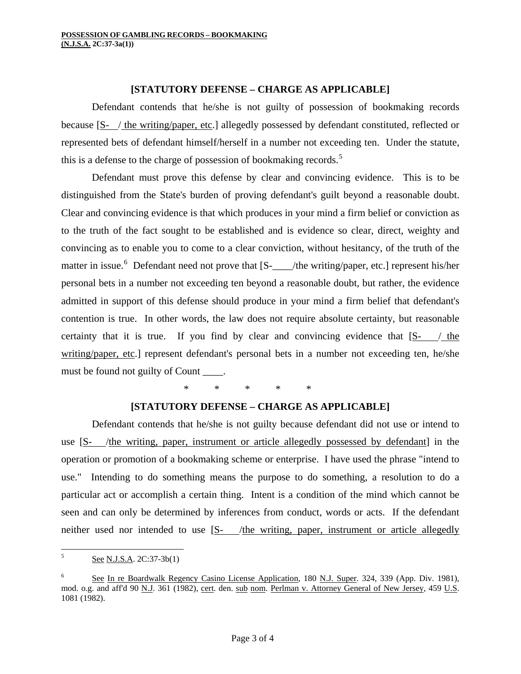## **[STATUTORY DEFENSE – CHARGE AS APPLICABLE]**

 Defendant contends that he/she is not guilty of possession of bookmaking records because [S- / the writing/paper, etc.] allegedly possessed by defendant constituted, reflected or represented bets of defendant himself/herself in a number not exceeding ten. Under the statute, this is a defense to the charge of possession of bookmaking records.<sup>[5](#page-1-1)</sup>

 Defendant must prove this defense by clear and convincing evidence. This is to be distinguished from the State's burden of proving defendant's guilt beyond a reasonable doubt. Clear and convincing evidence is that which produces in your mind a firm belief or conviction as to the truth of the fact sought to be established and is evidence so clear, direct, weighty and convincing as to enable you to come to a clear conviction, without hesitancy, of the truth of the matter in issue.<sup>[6](#page-2-0)</sup> Defendant need not prove that [S-\_\_\_\_/the writing/paper, etc.] represent his/her personal bets in a number not exceeding ten beyond a reasonable doubt, but rather, the evidence admitted in support of this defense should produce in your mind a firm belief that defendant's contention is true. In other words, the law does not require absolute certainty, but reasonable certainty that it is true. If you find by clear and convincing evidence that  $[S- / the$ writing/paper, etc.] represent defendant's personal bets in a number not exceeding ten, he/she must be found not guilty of Count \_\_\_\_.

 $*$  \* \* \* \* \*

## **[STATUTORY DEFENSE – CHARGE AS APPLICABLE]**

 Defendant contends that he/she is not guilty because defendant did not use or intend to use [S- /the writing, paper, instrument or article allegedly possessed by defendant] in the operation or promotion of a bookmaking scheme or enterprise. I have used the phrase "intend to use." Intending to do something means the purpose to do something, a resolution to do a particular act or accomplish a certain thing. Intent is a condition of the mind which cannot be seen and can only be determined by inferences from conduct, words or acts. If the defendant neither used nor intended to use [S- /the writing, paper, instrument or article allegedly

 5 See N.J.S.A. 2C:37-3b(1)

<span id="page-2-0"></span><sup>6</sup> See In re Boardwalk Regency Casino License Application, 180 N.J. Super. 324, 339 (App. Div. 1981), mod. o.g. and aff'd 90 N.J. 361 (1982), cert. den. sub nom. Perlman v. Attorney General of New Jersey, 459 U.S. 1081 (1982).